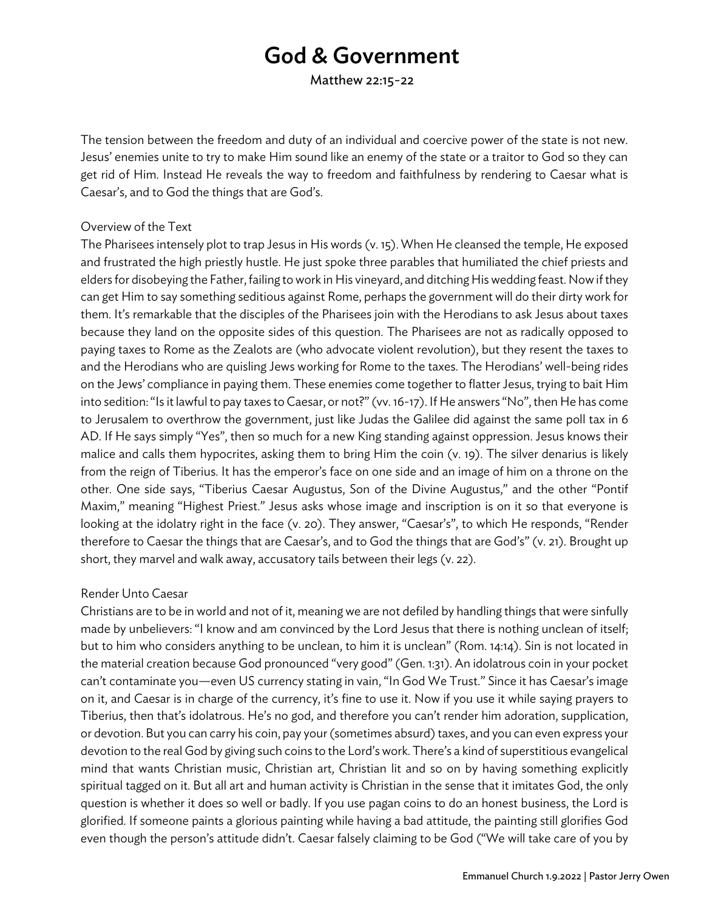# God & Government

Matthew 22:15-22

The tension between the freedom and duty of an individual and coercive power of the state is not new. Jesus' enemies unite to try to make Him sound like an enemy of the state or a traitor to God so they can get rid of Him. Instead He reveals the way to freedom and faithfulness by rendering to Caesar what is Caesar's, and to God the things that are God's.

#### Overview of the Text

The Pharisees intensely plot to trap Jesus in His words (v. 15). When He cleansed the temple, He exposed and frustrated the high priestly hustle. He just spoke three parables that humiliated the chief priests and elders for disobeying the Father, failing to work in His vineyard, and ditching His wedding feast. Now if they can get Him to say something seditious against Rome, perhaps the government will do their dirty work for them. It's remarkable that the disciples of the Pharisees join with the Herodians to ask Jesus about taxes because they land on the opposite sides of this question. The Pharisees are not as radically opposed to paying taxes to Rome as the Zealots are (who advocate violent revolution), but they resent the taxes to and the Herodians who are quisling Jews working for Rome to the taxes. The Herodians' well-being rides on the Jews' compliance in paying them. These enemies come together to flatter Jesus, trying to bait Him into sedition: "Is it lawful to pay taxes to Caesar, or not?"(vv. 16-17). If He answers "No", then He has come to Jerusalem to overthrow the government, just like Judas the Galilee did against the same poll tax in 6 AD. If He says simply "Yes", then so much for a new King standing against oppression. Jesus knows their malice and calls them hypocrites, asking them to bring Him the coin (v. 19). The silver denarius is likely from the reign of Tiberius. It has the emperor's face on one side and an image of him on a throne on the other. One side says, "Tiberius Caesar Augustus, Son of the Divine Augustus," and the other "Pontif Maxim," meaning "Highest Priest." Jesus asks whose image and inscription is on it so that everyone is looking at the idolatry right in the face (v. 20). They answer, "Caesar's", to which He responds, "Render therefore to Caesar the things that are Caesar's, and to God the things that are God's" (v. 21). Brought up short, they marvel and walk away, accusatory tails between their legs (v. 22).

### Render Unto Caesar

Christians are to be in world and not of it, meaning we are not defiled by handling things that were sinfully made by unbelievers: "I know and am convinced by the Lord Jesus that there is nothing unclean of itself; but to him who considers anything to be unclean, to him it is unclean" (Rom. 14:14). Sin is not located in the material creation because God pronounced "very good"(Gen. 1:31). An idolatrous coin in your pocket can't contaminate you—even US currency stating in vain, "In God We Trust." Since it has Caesar's image on it, and Caesar is in charge of the currency, it's fine to use it. Now if you use it while saying prayers to Tiberius, then that's idolatrous. He's no god, and therefore you can't render him adoration, supplication, or devotion. But you can carry his coin, pay your (sometimes absurd) taxes, and you can even express your devotion to the real God by giving such coins to the Lord's work. There's a kind of superstitious evangelical mind that wants Christian music, Christian art, Christian lit and so on by having something explicitly spiritual tagged on it. But all art and human activity is Christian in the sense that it imitates God, the only question is whether it does so well or badly. If you use pagan coins to do an honest business, the Lord is glorified. If someone paints a glorious painting while having a bad attitude, the painting still glorifies God even though the person's attitude didn't. Caesar falsely claiming to be God ("We will take care of you by